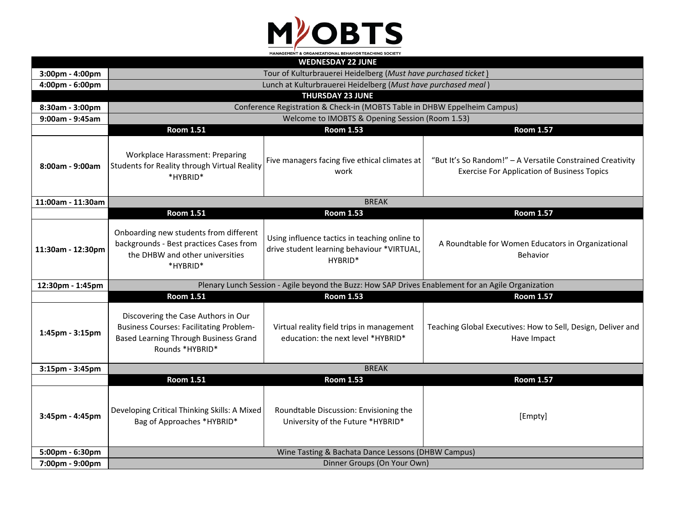

| <b>WEDNESDAY 22 JUNE</b> |                                                                                                                                                   |                                                                                                        |                                                                                                                  |  |  |
|--------------------------|---------------------------------------------------------------------------------------------------------------------------------------------------|--------------------------------------------------------------------------------------------------------|------------------------------------------------------------------------------------------------------------------|--|--|
| 3:00pm - 4:00pm          | Tour of Kulturbrauerei Heidelberg (Must have purchased ticket)                                                                                    |                                                                                                        |                                                                                                                  |  |  |
| 4:00pm - 6:00pm          | Lunch at Kulturbrauerei Heidelberg (Must have purchased meal)                                                                                     |                                                                                                        |                                                                                                                  |  |  |
|                          | <b>THURSDAY 23 JUNE</b>                                                                                                                           |                                                                                                        |                                                                                                                  |  |  |
| 8:30am - 3:00pm          | Conference Registration & Check-in (MOBTS Table in DHBW Eppelheim Campus)                                                                         |                                                                                                        |                                                                                                                  |  |  |
| 9:00am - 9:45am          | Welcome to IMOBTS & Opening Session (Room 1.53)                                                                                                   |                                                                                                        |                                                                                                                  |  |  |
|                          | <b>Room 1.51</b>                                                                                                                                  | <b>Room 1.53</b>                                                                                       | <b>Room 1.57</b>                                                                                                 |  |  |
| 8:00am - 9:00am          | <b>Workplace Harassment: Preparing</b><br>Students for Reality through Virtual Reality<br>*HYBRID*                                                | Five managers facing five ethical climates at<br>work                                                  | "But It's So Random!" - A Versatile Constrained Creativity<br><b>Exercise For Application of Business Topics</b> |  |  |
| 11:00am - 11:30am        | <b>BREAK</b>                                                                                                                                      |                                                                                                        |                                                                                                                  |  |  |
|                          | <b>Room 1.51</b>                                                                                                                                  | <b>Room 1.53</b>                                                                                       | <b>Room 1.57</b>                                                                                                 |  |  |
| 11:30am - 12:30pm        | Onboarding new students from different<br>backgrounds - Best practices Cases from<br>the DHBW and other universities<br>*HYBRID*                  | Using influence tactics in teaching online to<br>drive student learning behaviour *VIRTUAL,<br>HYBRID* | A Roundtable for Women Educators in Organizational<br>Behavior                                                   |  |  |
| 12:30pm - 1:45pm         |                                                                                                                                                   | Plenary Lunch Session - Agile beyond the Buzz: How SAP Drives Enablement for an Agile Organization     |                                                                                                                  |  |  |
|                          | <b>Room 1.51</b>                                                                                                                                  | <b>Room 1.53</b>                                                                                       | <b>Room 1.57</b>                                                                                                 |  |  |
| 1:45pm - 3:15pm          | Discovering the Case Authors in Our<br><b>Business Courses: Facilitating Problem-</b><br>Based Learning Through Business Grand<br>Rounds *HYBRID* | Virtual reality field trips in management<br>education: the next level *HYBRID*                        | Teaching Global Executives: How to Sell, Design, Deliver and<br>Have Impact                                      |  |  |
| 3:15pm - 3:45pm          | <b>BREAK</b>                                                                                                                                      |                                                                                                        |                                                                                                                  |  |  |
|                          | <b>Room 1.51</b>                                                                                                                                  | <b>Room 1.53</b>                                                                                       | <b>Room 1.57</b>                                                                                                 |  |  |
| 3:45pm - 4:45pm          | Developing Critical Thinking Skills: A Mixed<br>Bag of Approaches *HYBRID*                                                                        | Roundtable Discussion: Envisioning the<br>University of the Future *HYBRID*                            | [Empty]                                                                                                          |  |  |
| 5:00pm - 6:30pm          | Wine Tasting & Bachata Dance Lessons (DHBW Campus)                                                                                                |                                                                                                        |                                                                                                                  |  |  |
| 7:00pm - 9:00pm          | Dinner Groups (On Your Own)                                                                                                                       |                                                                                                        |                                                                                                                  |  |  |